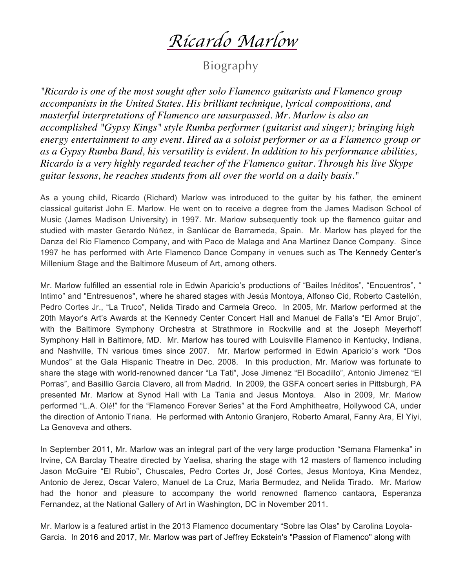*Ricardo Marlow*

Biography

*"Ricardo is one of the most sought after solo Flamenco guitarists and Flamenco group accompanists in the United States. His brilliant technique, lyrical compositions, and masterful interpretations of Flamenco are unsurpassed. Mr. Marlow is also an accomplished "Gypsy Kings" style Rumba performer (guitarist and singer); bringing high energy entertainment to any event. Hired as a soloist performer or as a Flamenco group or as a Gypsy Rumba Band, his versatility is evident. In addition to his performance abilities, Ricardo is a very highly regarded teacher of the Flamenco guitar. Through his live Skype guitar lessons, he reaches students from all over the world on a daily basis."*

As a young child, Ricardo (Richard) Marlow was introduced to the guitar by his father, the eminent classical guitarist John E. Marlow. He went on to receive a degree from the James Madison School of Music (James Madison University) in 1997. Mr. Marlow subsequently took up the flamenco guitar and studied with master Gerardo Núñez, in Sanlúcar de Barrameda, Spain. Mr. Marlow has played for the Danza del Rio Flamenco Company, and with Paco de Malaga and Ana Martinez Dance Company. Since 1997 he has performed with Arte Flamenco Dance Company in venues such as The Kennedy Center's Millenium Stage and the Baltimore Museum of Art, among others.

Mr. Marlow fulfilled an essential role in Edwin Aparicio's productions of "Bailes Inéditos", "Encuentros", " Intimo" and "Entresuenos", where he shared stages with Jesús Montoya, Alfonso Cid, Roberto Castellón, Pedro Cortes Jr., "La Truco", Nelida Tirado and Carmela Greco. In 2005, Mr. Marlow performed at the 20th Mayor's Art's Awards at the Kennedy Center Concert Hall and Manuel de Falla's "El Amor Brujo", with the Baltimore Symphony Orchestra at Strathmore in Rockville and at the Joseph Meyerhoff Symphony Hall in Baltimore, MD. Mr. Marlow has toured with Louisville Flamenco in Kentucky, Indiana, and Nashville, TN various times since 2007. Mr. Marlow performed in Edwin Aparicio's work "Dos Mundos" at the Gala Hispanic Theatre in Dec. 2008. In this production, Mr. Marlow was fortunate to share the stage with world-renowned dancer "La Tati", Jose Jimenez "El Bocadillo", Antonio Jimenez "El Porras", and Basillio Garcia Clavero, all from Madrid. In 2009, the GSFA concert series in Pittsburgh, PA presented Mr. Marlow at Synod Hall with La Tania and Jesus Montoya. Also in 2009, Mr. Marlow performed "L.A. Olé!" for the "Flamenco Forever Series" at the Ford Amphitheatre, Hollywood CA, under the direction of Antonio Triana. He performed with Antonio Granjero, Roberto Amaral, Fanny Ara, El Yiyi, La Genoveva and others.

In September 2011, Mr. Marlow was an integral part of the very large production "Semana Flamenka" in Irvine, CA Barclay Theatre directed by Yaelisa, sharing the stage with 12 masters of flamenco including Jason McGuire "El Rubio", Chuscales, Pedro Cortes Jr, José Cortes, Jesus Montoya, Kina Mendez, Antonio de Jerez, Oscar Valero, Manuel de La Cruz, Maria Bermudez, and Nelida Tirado. Mr. Marlow had the honor and pleasure to accompany the world renowned flamenco cantaora, Esperanza Fernandez, at the National Gallery of Art in Washington, DC in November 2011.

Mr. Marlow is a featured artist in the 2013 Flamenco documentary "Sobre las Olas" by Carolina Loyola-Garcia. In 2016 and 2017, Mr. Marlow was part of Jeffrey Eckstein's "Passion of Flamenco" along with